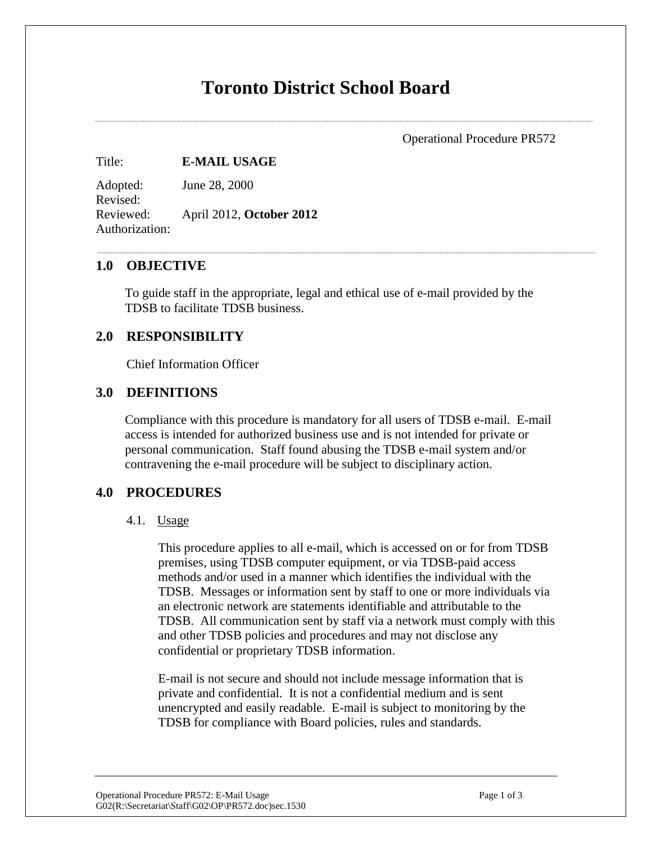# **Toronto District School Board**

Operational Procedure PR572

Title: **E-MAIL USAGE**

Adopted: June 28, 2000 Revised: Reviewed: April 2012, **October 2012** Authorization:

#### **1.0 OBJECTIVE**

To guide staff in the appropriate, legal and ethical use of e-mail provided by the TDSB to facilitate TDSB business.

#### **2.0 RESPONSIBILITY**

Chief Information Officer

# **3.0 DEFINITIONS**

Compliance with this procedure is mandatory for all users of TDSB e-mail. E-mail access is intended for authorized business use and is not intended for private or personal communication. Staff found abusing the TDSB e-mail system and/or contravening the e-mail procedure will be subject to disciplinary action.

### **4.0 PROCEDURES**

#### 4.1. Usage

This procedure applies to all e-mail, which is accessed on or for from TDSB premises, using TDSB computer equipment, or via TDSB-paid access methods and/or used in a manner which identifies the individual with the TDSB. Messages or information sent by staff to one or more individuals via an electronic network are statements identifiable and attributable to the TDSB. All communication sent by staff via a network must comply with this and other TDSB policies and procedures and may not disclose any confidential or proprietary TDSB information.

E-mail is not secure and should not include message information that is private and confidential. It is not a confidential medium and is sent unencrypted and easily readable. E-mail is subject to monitoring by the TDSB for compliance with Board policies, rules and standards.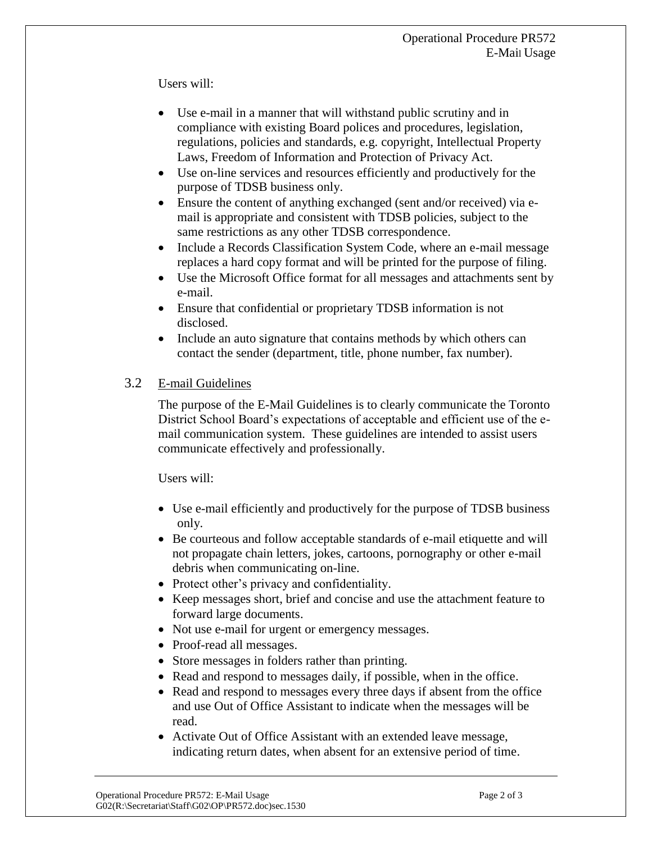Users will:

- Use e-mail in a manner that will withstand public scrutiny and in compliance with existing Board polices and procedures, legislation, regulations, policies and standards, e.g. copyright, Intellectual Property Laws, Freedom of Information and Protection of Privacy Act.
- Use on-line services and resources efficiently and productively for the purpose of TDSB business only.
- Ensure the content of anything exchanged (sent and/or received) via email is appropriate and consistent with TDSB policies, subject to the same restrictions as any other TDSB correspondence.
- Include a Records Classification System Code, where an e-mail message replaces a hard copy format and will be printed for the purpose of filing.
- Use the Microsoft Office format for all messages and attachments sent by e-mail.
- Ensure that confidential or proprietary TDSB information is not disclosed.
- Include an auto signature that contains methods by which others can contact the sender (department, title, phone number, fax number).

# 3.2 E-mail Guidelines

The purpose of the E-Mail Guidelines is to clearly communicate the Toronto District School Board's expectations of acceptable and efficient use of the email communication system. These guidelines are intended to assist users communicate effectively and professionally.

Users will:

- Use e-mail efficiently and productively for the purpose of TDSB business only.
- Be courteous and follow acceptable standards of e-mail etiquette and will not propagate chain letters, jokes, cartoons, pornography or other e-mail debris when communicating on-line.
- Protect other's privacy and confidentiality.
- Keep messages short, brief and concise and use the attachment feature to forward large documents.
- Not use e-mail for urgent or emergency messages.
- Proof-read all messages.
- Store messages in folders rather than printing.
- Read and respond to messages daily, if possible, when in the office.
- Read and respond to messages every three days if absent from the office and use Out of Office Assistant to indicate when the messages will be read.
- Activate Out of Office Assistant with an extended leave message, indicating return dates, when absent for an extensive period of time.